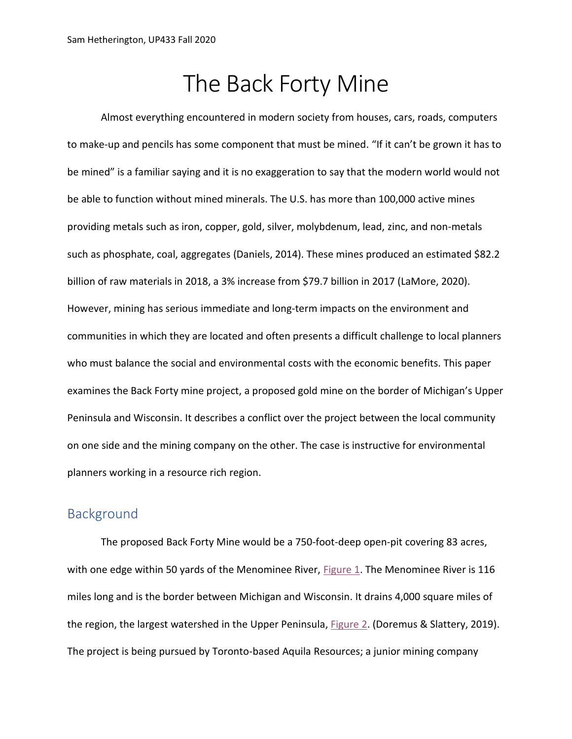# The Back Forty Mine

Almost everything encountered in modern society from houses, cars, roads, computers to make-up and pencils has some component that must be mined. "If it can't be grown it has to be mined" is a familiar saying and it is no exaggeration to say that the modern world would not be able to function without mined minerals. The U.S. has more than 100,000 active mines providing metals such as iron, copper, gold, silver, molybdenum, lead, zinc, and non-metals such as phosphate, coal, aggregates (Daniels, 2014). These mines produced an estimated \$82.2 billion of raw materials in 2018, a 3% increase from \$79.7 billion in 2017 (LaMore, 2020). However, mining has serious immediate and long-term impacts on the environment and communities in which they are located and often presents a difficult challenge to local planners who must balance the social and environmental costs with the economic benefits. This paper examines the Back Forty mine project, a proposed gold mine on the border of Michigan's Upper Peninsula and Wisconsin. It describes a conflict over the project between the local community on one side and the mining company on the other. The case is instructive for environmental planners working in a resource rich region.

### **Background**

<span id="page-0-1"></span><span id="page-0-0"></span>The proposed Back Forty Mine would be a 750-foot-deep open-pit covering 83 acres, with one edge within 50 yards of the Menominee River, [Figure 1.](#page-10-0) The Menominee River is 116 miles long and is the border between Michigan and Wisconsin. It drains 4,000 square miles of the region, the largest watershed in the Upper Peninsula, [Figure 2.](#page-10-1) (Doremus & Slattery, 2019). The project is being pursued by Toronto-based Aquila Resources; a junior mining company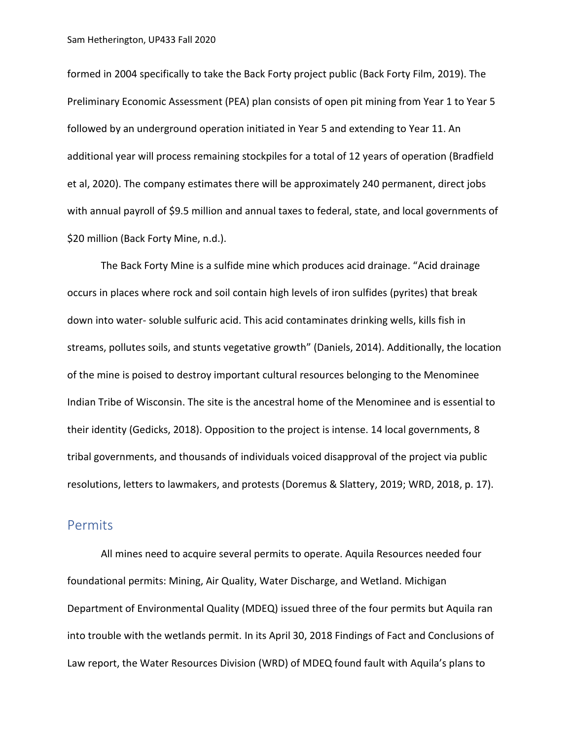formed in 2004 specifically to take the Back Forty project public (Back Forty Film, 2019). The Preliminary Economic Assessment (PEA) plan consists of open pit mining from Year 1 to Year 5 followed by an underground operation initiated in Year 5 and extending to Year 11. An additional year will process remaining stockpiles for a total of 12 years of operation (Bradfield et al, 2020). The company estimates there will be approximately 240 permanent, direct jobs with annual payroll of \$9.5 million and annual taxes to federal, state, and local governments of \$20 million (Back Forty Mine, n.d.).

The Back Forty Mine is a sulfide mine which produces acid drainage. "Acid drainage occurs in places where rock and soil contain high levels of iron sulfides (pyrites) that break down into water- soluble sulfuric acid. This acid contaminates drinking wells, kills fish in streams, pollutes soils, and stunts vegetative growth" (Daniels, 2014). Additionally, the location of the mine is poised to destroy important cultural resources belonging to the Menominee Indian Tribe of Wisconsin. The site is the ancestral home of the Menominee and is essential to their identity (Gedicks, 2018). Opposition to the project is intense. 14 local governments, 8 tribal governments, and thousands of individuals voiced disapproval of the project via public resolutions, letters to lawmakers, and protests (Doremus & Slattery, 2019; WRD, 2018, p. 17).

#### **Permits**

All mines need to acquire several permits to operate. Aquila Resources needed four foundational permits: Mining, Air Quality, Water Discharge, and Wetland. Michigan Department of Environmental Quality (MDEQ) issued three of the four permits but Aquila ran into trouble with the wetlands permit. In its April 30, 2018 Findings of Fact and Conclusions of Law report, the Water Resources Division (WRD) of MDEQ found fault with Aquila's plans to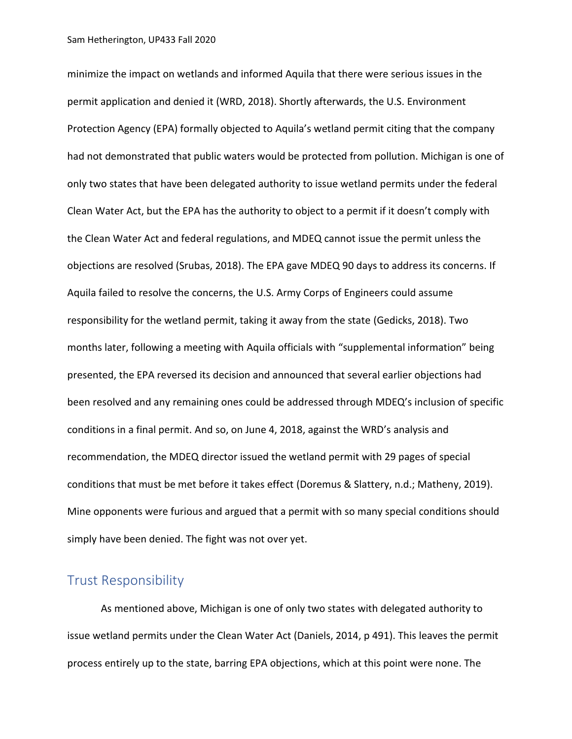minimize the impact on wetlands and informed Aquila that there were serious issues in the permit application and denied it (WRD, 2018). Shortly afterwards, the U.S. Environment Protection Agency (EPA) formally objected to Aquila's wetland permit citing that the company had not demonstrated that public waters would be protected from pollution. Michigan is one of only two states that have been delegated authority to issue wetland permits under the federal Clean Water Act, but the EPA has the authority to object to a permit if it doesn't comply with the Clean Water Act and federal regulations, and MDEQ cannot issue the permit unless the objections are resolved (Srubas, 2018). The EPA gave MDEQ 90 days to address its concerns. If Aquila failed to resolve the concerns, the U.S. Army Corps of Engineers could assume responsibility for the wetland permit, taking it away from the state (Gedicks, 2018). Two months later, following a meeting with Aquila officials with "supplemental information" being presented, the EPA reversed its decision and announced that several earlier objections had been resolved and any remaining ones could be addressed through MDEQ's inclusion of specific conditions in a final permit. And so, on June 4, 2018, against the WRD's analysis and recommendation, the MDEQ director issued the wetland permit with 29 pages of special conditions that must be met before it takes effect (Doremus & Slattery, n.d.; Matheny, 2019). Mine opponents were furious and argued that a permit with so many special conditions should simply have been denied. The fight was not over yet.

### Trust Responsibility

As mentioned above, Michigan is one of only two states with delegated authority to issue wetland permits under the Clean Water Act (Daniels, 2014, p 491). This leaves the permit process entirely up to the state, barring EPA objections, which at this point were none. The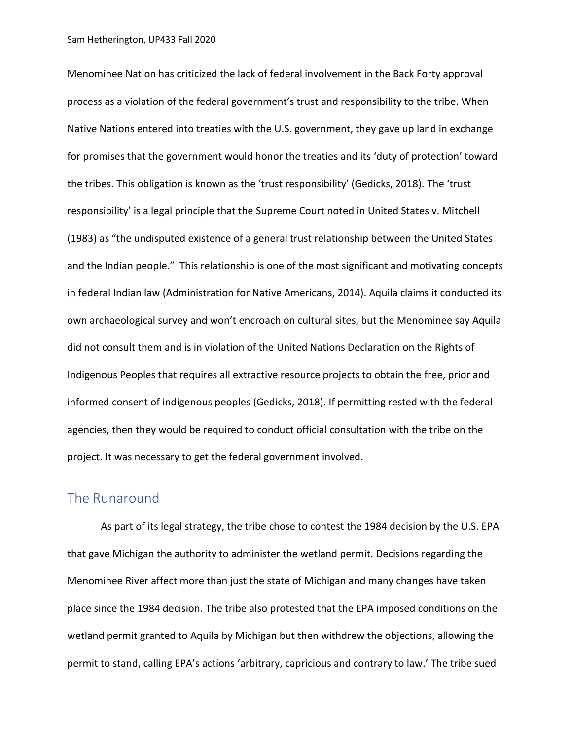Menominee Nation has criticized the lack of federal involvement in the Back Forty approval process as a violation of the federal government's trust and responsibility to the tribe. When Native Nations entered into treaties with the U.S. government, they gave up land in exchange for promises that the government would honor the treaties and its 'duty of protection' toward the tribes. This obligation is known as the 'trust responsibility' (Gedicks, 2018). The 'trust responsibility' is a legal principle that the Supreme Court noted in United States v. Mitchell (1983) as "the undisputed existence of a general trust relationship between the United States and the Indian people." This relationship is one of the most significant and motivating concepts in federal Indian law (Administration for Native Americans, 2014). Aquila claims it conducted its own archaeological survey and won't encroach on cultural sites, but the Menominee say Aquila did not consult them and is in violation of the United Nations Declaration on the Rights of Indigenous Peoples that requires all extractive resource projects to obtain the free, prior and informed consent of indigenous peoples (Gedicks, 2018). If permitting rested with the federal agencies, then they would be required to conduct official consultation with the tribe on the project. It was necessary to get the federal government involved.

### The Runaround

As part of its legal strategy, the tribe chose to contest the 1984 decision by the U.S. EPA that gave Michigan the authority to administer the wetland permit. Decisions regarding the Menominee River affect more than just the state of Michigan and many changes have taken place since the 1984 decision. The tribe also protested that the EPA imposed conditions on the wetland permit granted to Aquila by Michigan but then withdrew the objections, allowing the permit to stand, calling EPA's actions 'arbitrary, capricious and contrary to law.' The tribe sued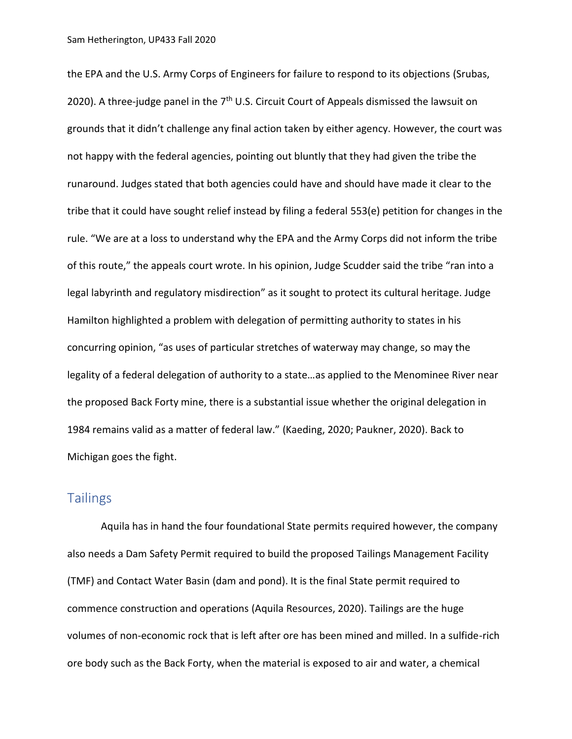the EPA and the U.S. Army Corps of Engineers for failure to respond to its objections (Srubas, 2020). A three-judge panel in the 7<sup>th</sup> U.S. Circuit Court of Appeals dismissed the lawsuit on grounds that it didn't challenge any final action taken by either agency. However, the court was not happy with the federal agencies, pointing out bluntly that they had given the tribe the runaround. Judges stated that both agencies could have and should have made it clear to the tribe that it could have sought relief instead by filing a federal 553(e) petition for changes in the rule. "We are at a loss to understand why the EPA and the Army Corps did not inform the tribe of this route," the appeals court wrote. In his opinion, Judge Scudder said the tribe "ran into a legal labyrinth and regulatory misdirection" as it sought to protect its cultural heritage. Judge Hamilton highlighted a problem with delegation of permitting authority to states in his concurring opinion, "as uses of particular stretches of waterway may change, so may the legality of a federal delegation of authority to a state…as applied to the Menominee River near the proposed Back Forty mine, there is a substantial issue whether the original delegation in 1984 remains valid as a matter of federal law." (Kaeding, 2020; Paukner, 2020). Back to Michigan goes the fight.

### **Tailings**

Aquila has in hand the four foundational State permits required however, the company also needs a Dam Safety Permit required to build the proposed Tailings Management Facility (TMF) and Contact Water Basin (dam and pond). It is the final State permit required to commence construction and operations (Aquila Resources, 2020). Tailings are the huge volumes of non-economic rock that is left after ore has been mined and milled. In a sulfide-rich ore body such as the Back Forty, when the material is exposed to air and water, a chemical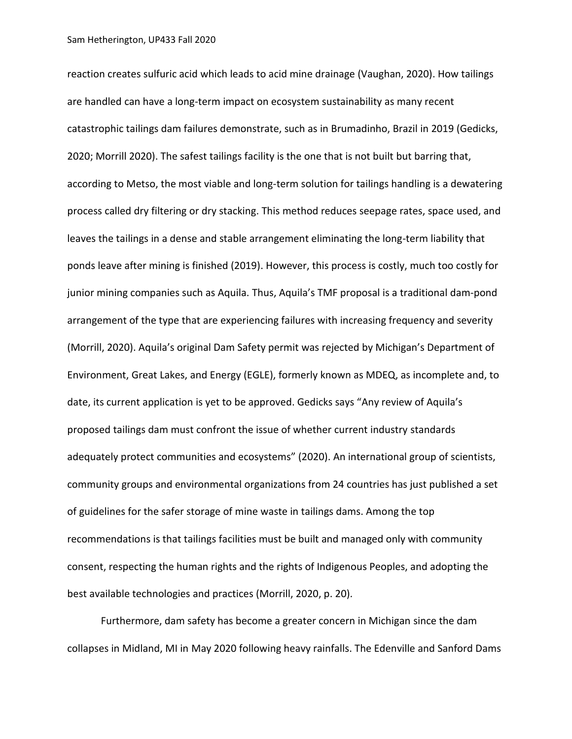reaction creates sulfuric acid which leads to acid mine drainage (Vaughan, 2020). How tailings are handled can have a long-term impact on ecosystem sustainability as many recent catastrophic tailings dam failures demonstrate, such as in Brumadinho, Brazil in 2019 (Gedicks, 2020; Morrill 2020). The safest tailings facility is the one that is not built but barring that, according to Metso, the most viable and long-term solution for tailings handling is a dewatering process called dry filtering or dry stacking. This method reduces seepage rates, space used, and leaves the tailings in a dense and stable arrangement eliminating the long-term liability that ponds leave after mining is finished (2019). However, this process is costly, much too costly for junior mining companies such as Aquila. Thus, Aquila's TMF proposal is a traditional dam-pond arrangement of the type that are experiencing failures with increasing frequency and severity (Morrill, 2020). Aquila's original Dam Safety permit was rejected by Michigan's Department of Environment, Great Lakes, and Energy (EGLE), formerly known as MDEQ, as incomplete and, to date, its current application is yet to be approved. Gedicks says "Any review of Aquila's proposed tailings dam must confront the issue of whether current industry standards adequately protect communities and ecosystems" (2020). An international group of scientists, community groups and environmental organizations from 24 countries has just published a set of guidelines for the safer storage of mine waste in tailings dams. Among the top recommendations is that tailings facilities must be built and managed only with community consent, respecting the human rights and the rights of Indigenous Peoples, and adopting the best available technologies and practices (Morrill, 2020, p. 20).

Furthermore, dam safety has become a greater concern in Michigan since the dam collapses in Midland, MI in May 2020 following heavy rainfalls. The Edenville and Sanford Dams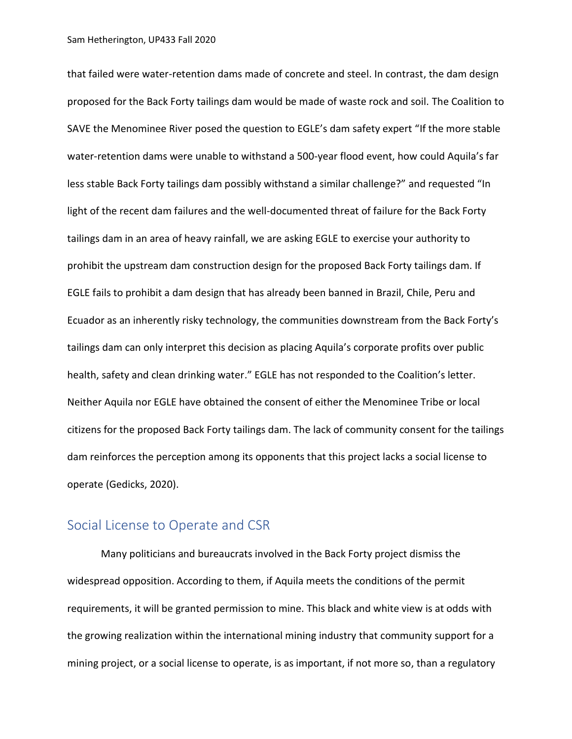that failed were water-retention dams made of concrete and steel. In contrast, the dam design proposed for the Back Forty tailings dam would be made of waste rock and soil. The Coalition to SAVE the Menominee River posed the question to EGLE's dam safety expert "If the more stable water-retention dams were unable to withstand a 500-year flood event, how could Aquila's far less stable Back Forty tailings dam possibly withstand a similar challenge?" and requested "In light of the recent dam failures and the well-documented threat of failure for the Back Forty tailings dam in an area of heavy rainfall, we are asking EGLE to exercise your authority to prohibit the upstream dam construction design for the proposed Back Forty tailings dam. If EGLE fails to prohibit a dam design that has already been banned in Brazil, Chile, Peru and Ecuador as an inherently risky technology, the communities downstream from the Back Forty's tailings dam can only interpret this decision as placing Aquila's corporate profits over public health, safety and clean drinking water." EGLE has not responded to the Coalition's letter. Neither Aquila nor EGLE have obtained the consent of either the Menominee Tribe or local citizens for the proposed Back Forty tailings dam. The lack of community consent for the tailings dam reinforces the perception among its opponents that this project lacks a social license to operate (Gedicks, 2020).

#### Social License to Operate and CSR

Many politicians and bureaucrats involved in the Back Forty project dismiss the widespread opposition. According to them, if Aquila meets the conditions of the permit requirements, it will be granted permission to mine. This black and white view is at odds with the growing realization within the international mining industry that community support for a mining project, or a social license to operate, is as important, if not more so, than a regulatory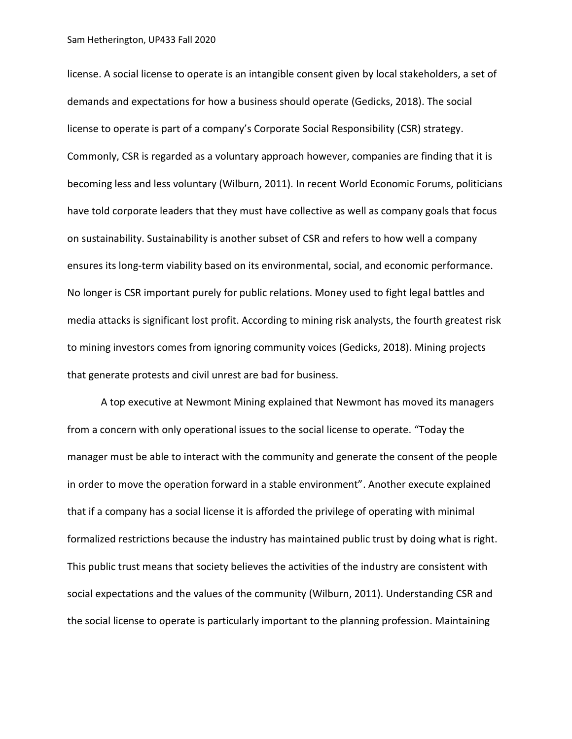license. A social license to operate is an intangible consent given by local stakeholders, a set of demands and expectations for how a business should operate (Gedicks, 2018). The social license to operate is part of a company's Corporate Social Responsibility (CSR) strategy. Commonly, CSR is regarded as a voluntary approach however, companies are finding that it is becoming less and less voluntary (Wilburn, 2011). In recent World Economic Forums, politicians have told corporate leaders that they must have collective as well as company goals that focus on sustainability. Sustainability is another subset of CSR and refers to how well a company ensures its long-term viability based on its environmental, social, and economic performance. No longer is CSR important purely for public relations. Money used to fight legal battles and media attacks is significant lost profit. According to mining risk analysts, the fourth greatest risk to mining investors comes from ignoring community voices (Gedicks, 2018). Mining projects that generate protests and civil unrest are bad for business.

A top executive at Newmont Mining explained that Newmont has moved its managers from a concern with only operational issues to the social license to operate. "Today the manager must be able to interact with the community and generate the consent of the people in order to move the operation forward in a stable environment". Another execute explained that if a company has a social license it is afforded the privilege of operating with minimal formalized restrictions because the industry has maintained public trust by doing what is right. This public trust means that society believes the activities of the industry are consistent with social expectations and the values of the community (Wilburn, 2011). Understanding CSR and the social license to operate is particularly important to the planning profession. Maintaining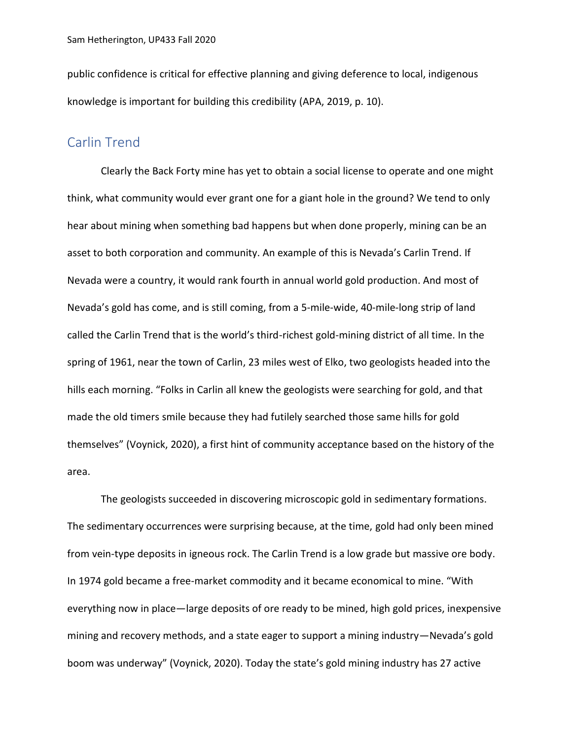public confidence is critical for effective planning and giving deference to local, indigenous knowledge is important for building this credibility (APA, 2019, p. 10).

#### Carlin Trend

Clearly the Back Forty mine has yet to obtain a social license to operate and one might think, what community would ever grant one for a giant hole in the ground? We tend to only hear about mining when something bad happens but when done properly, mining can be an asset to both corporation and community. An example of this is Nevada's Carlin Trend. If Nevada were a country, it would rank fourth in annual world gold production. And most of Nevada's gold has come, and is still coming, from a 5-mile-wide, 40-mile-long strip of land called the Carlin Trend that is the world's third-richest gold-mining district of all time. In the spring of 1961, near the town of Carlin, 23 miles west of Elko, two geologists headed into the hills each morning. "Folks in Carlin all knew the geologists were searching for gold, and that made the old timers smile because they had futilely searched those same hills for gold themselves" (Voynick, 2020), a first hint of community acceptance based on the history of the area.

The geologists succeeded in discovering microscopic gold in sedimentary formations. The sedimentary occurrences were surprising because, at the time, gold had only been mined from vein-type deposits in igneous rock. The Carlin Trend is a low grade but massive ore body. In 1974 gold became a free-market commodity and it became economical to mine. "With everything now in place—large deposits of ore ready to be mined, high gold prices, inexpensive mining and recovery methods, and a state eager to support a mining industry—Nevada's gold boom was underway" (Voynick, 2020). Today the state's gold mining industry has 27 active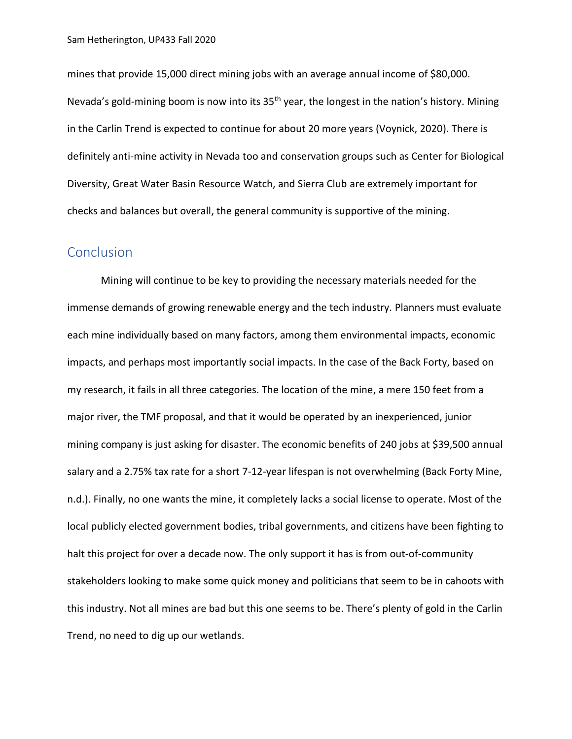mines that provide 15,000 direct mining jobs with an average annual income of \$80,000. Nevada's gold-mining boom is now into its 35<sup>th</sup> year, the longest in the nation's history. Mining in the Carlin Trend is expected to continue for about 20 more years (Voynick, 2020). There is definitely anti-mine activity in Nevada too and conservation groups such as Center for Biological Diversity, Great Water Basin Resource Watch, and Sierra Club are extremely important for checks and balances but overall, the general community is supportive of the mining.

#### **Conclusion**

Mining will continue to be key to providing the necessary materials needed for the immense demands of growing renewable energy and the tech industry. Planners must evaluate each mine individually based on many factors, among them environmental impacts, economic impacts, and perhaps most importantly social impacts. In the case of the Back Forty, based on my research, it fails in all three categories. The location of the mine, a mere 150 feet from a major river, the TMF proposal, and that it would be operated by an inexperienced, junior mining company is just asking for disaster. The economic benefits of 240 jobs at \$39,500 annual salary and a 2.75% tax rate for a short 7-12-year lifespan is not overwhelming (Back Forty Mine, n.d.). Finally, no one wants the mine, it completely lacks a social license to operate. Most of the local publicly elected government bodies, tribal governments, and citizens have been fighting to halt this project for over a decade now. The only support it has is from out-of-community stakeholders looking to make some quick money and politicians that seem to be in cahoots with this industry. Not all mines are bad but this one seems to be. There's plenty of gold in the Carlin Trend, no need to dig up our wetlands.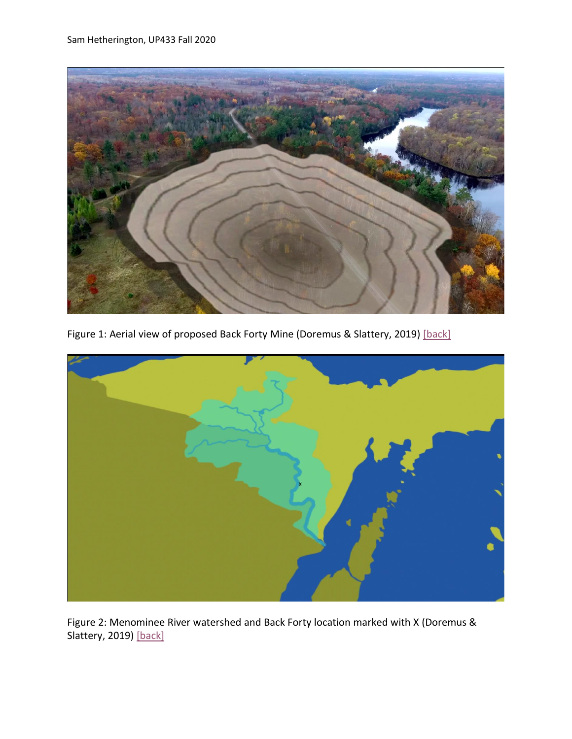<span id="page-10-0"></span>

Figure 1: Aerial view of proposed Back Forty Mine (Doremus & Slattery, 2019) [\[back\]](#page-0-0)

<span id="page-10-1"></span>

Figure 2: Menominee River watershed and Back Forty location marked with X (Doremus & Slattery, 2019) [\[back\]](#page-0-1)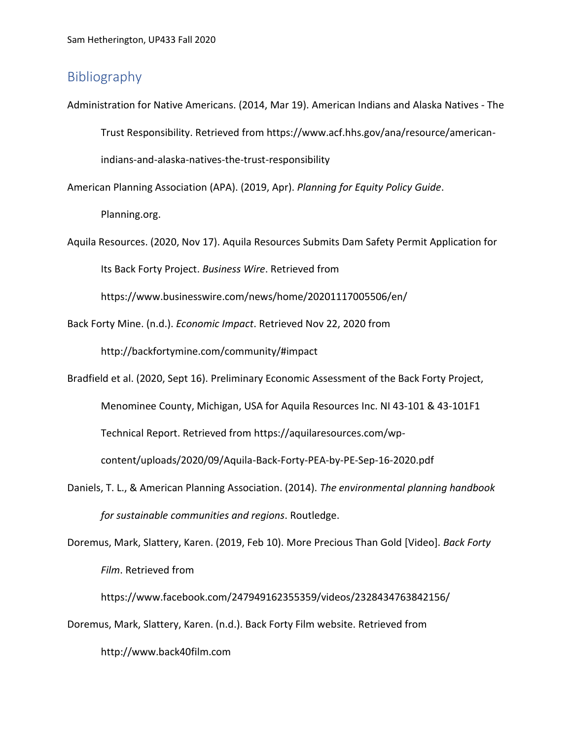## Bibliography

Administration for Native Americans. (2014, Mar 19). American Indians and Alaska Natives - The Trust Responsibility. Retrieved from https://www.acf.hhs.gov/ana/resource/americanindians-and-alaska-natives-the-trust-responsibility

American Planning Association (APA). (2019, Apr). *Planning for Equity Policy Guide*.

Planning.org.

Aquila Resources. (2020, Nov 17). Aquila Resources Submits Dam Safety Permit Application for Its Back Forty Project. *Business Wire*. Retrieved from

https://www.businesswire.com/news/home/20201117005506/en/

Back Forty Mine. (n.d.). *Economic Impact*. Retrieved Nov 22, 2020 from

http://backfortymine.com/community/#impact

Bradfield et al. (2020, Sept 16). Preliminary Economic Assessment of the Back Forty Project,

Menominee County, Michigan, USA for Aquila Resources Inc. NI 43-101 & 43-101F1

Technical Report. Retrieved from https://aquilaresources.com/wp-

content/uploads/2020/09/Aquila-Back-Forty-PEA-by-PE-Sep-16-2020.pdf

- Daniels, T. L., & American Planning Association. (2014). *The environmental planning handbook for sustainable communities and regions*. Routledge.
- Doremus, Mark, Slattery, Karen. (2019, Feb 10). More Precious Than Gold [Video]. *Back Forty Film*. Retrieved from

https://www.facebook.com/247949162355359/videos/2328434763842156/

Doremus, Mark, Slattery, Karen. (n.d.). Back Forty Film website. Retrieved from

http://www.back40film.com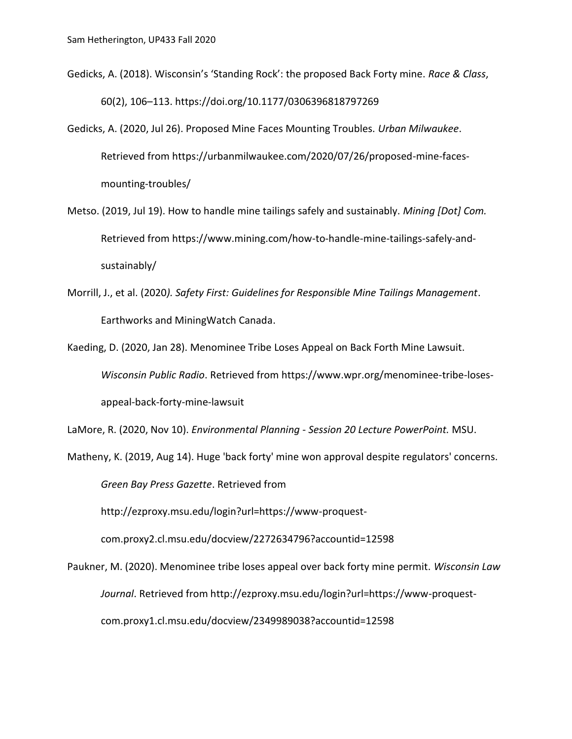- Gedicks, A. (2018). Wisconsin's 'Standing Rock': the proposed Back Forty mine. *Race & Class*, 60(2), 106–113. https://doi.org/10.1177/0306396818797269
- Gedicks, A. (2020, Jul 26). Proposed Mine Faces Mounting Troubles. *Urban Milwaukee*. Retrieved from https://urbanmilwaukee.com/2020/07/26/proposed-mine-facesmounting-troubles/
- Metso. (2019, Jul 19). How to handle mine tailings safely and sustainably. *Mining [Dot] Com.* Retrieved from https://www.mining.com/how-to-handle-mine-tailings-safely-andsustainably/
- Morrill, J., et al. (2020*). Safety First: Guidelines for Responsible Mine Tailings Management*. Earthworks and MiningWatch Canada.
- Kaeding, D. (2020, Jan 28). Menominee Tribe Loses Appeal on Back Forth Mine Lawsuit. *Wisconsin Public Radio*. Retrieved from https://www.wpr.org/menominee-tribe-losesappeal-back-forty-mine-lawsuit

LaMore, R. (2020, Nov 10). *Environmental Planning* - *Session 20 Lecture PowerPoint.* MSU.

Matheny, K. (2019, Aug 14). Huge 'back forty' mine won approval despite regulators' concerns. *Green Bay Press Gazette*. Retrieved from

http://ezproxy.msu.edu/login?url=https://www-proquest-

com.proxy2.cl.msu.edu/docview/2272634796?accountid=12598

Paukner, M. (2020). Menominee tribe loses appeal over back forty mine permit. *Wisconsin Law Journal*. Retrieved from http://ezproxy.msu.edu/login?url=https://www-proquestcom.proxy1.cl.msu.edu/docview/2349989038?accountid=12598